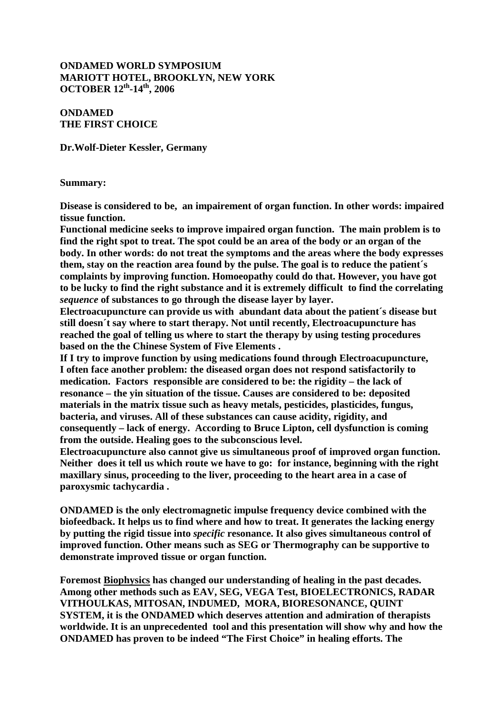### **ONDAMED WORLD SYMPOSIUM MARIOTT HOTEL, BROOKLYN, NEW YORK OCTOBER 12th-14th, 2006**

### **ONDAMED THE FIRST CHOICE**

**Dr.Wolf-Dieter Kessler, Germany** 

#### **Summary:**

**Disease is considered to be, an impairement of organ function. In other words: impaired tissue function.** 

**Functional medicine seeks to improve impaired organ function. The main problem is to find the right spot to treat. The spot could be an area of the body or an organ of the body. In other words: do not treat the symptoms and the areas where the body expresses them, stay on the reaction area found by the pulse. The goal is to reduce the patient´s complaints by improving function. Homoeopathy could do that. However, you have got to be lucky to find the right substance and it is extremely difficult to find the correlating**  *sequence* **of substances to go through the disease layer by layer.** 

**Electroacupuncture can provide us with abundant data about the patient´s disease but still doesn´t say where to start therapy. Not until recently, Electroacupuncture has reached the goal of telling us where to start the therapy by using testing procedures based on the the Chinese System of Five Elements .** 

**If I try to improve function by using medications found through Electroacupuncture, I often face another problem: the diseased organ does not respond satisfactorily to medication. Factors responsible are considered to be: the rigidity – the lack of resonance – the yin situation of the tissue. Causes are considered to be: deposited materials in the matrix tissue such as heavy metals, pesticides, plasticides, fungus, bacteria, and viruses. All of these substances can cause acidity, rigidity, and consequently – lack of energy. According to Bruce Lipton, cell dysfunction is coming from the outside. Healing goes to the subconscious level.** 

**Electroacupuncture also cannot give us simultaneous proof of improved organ function. Neither does it tell us which route we have to go: for instance, beginning with the right maxillary sinus, proceeding to the liver, proceeding to the heart area in a case of paroxysmic tachycardia .** 

**ONDAMED is the only electromagnetic impulse frequency device combined with the biofeedback. It helps us to find where and how to treat. It generates the lacking energy by putting the rigid tissue into** *specific* **resonance. It also gives simultaneous control of improved function. Other means such as SEG or Thermography can be supportive to demonstrate improved tissue or organ function.** 

**Foremost Biophysics has changed our understanding of healing in the past decades. Among other methods such as EAV, SEG, VEGA Test, BIOELECTRONICS, RADAR VITHOULKAS, MITOSAN, INDUMED, MORA, BIORESONANCE, QUINT SYSTEM, it is the ONDAMED which deserves attention and admiration of therapists worldwide. It is an unprecedented tool and this presentation will show why and how the ONDAMED has proven to be indeed "The First Choice" in healing efforts. The**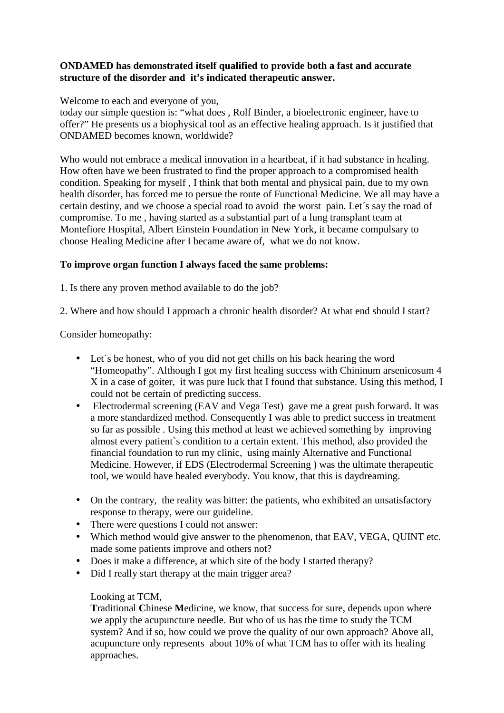## **ONDAMED has demonstrated itself qualified to provide both a fast and accurate structure of the disorder and it's indicated therapeutic answer.**

Welcome to each and everyone of you,

today our simple question is: "what does , Rolf Binder, a bioelectronic engineer, have to offer?" He presents us a biophysical tool as an effective healing approach. Is it justified that ONDAMED becomes known, worldwide?

Who would not embrace a medical innovation in a heartbeat, if it had substance in healing. How often have we been frustrated to find the proper approach to a compromised health condition. Speaking for myself , I think that both mental and physical pain, due to my own health disorder, has forced me to persue the route of Functional Medicine. We all may have a certain destiny, and we choose a special road to avoid the worst pain. Let´s say the road of compromise. To me , having started as a substantial part of a lung transplant team at Montefiore Hospital, Albert Einstein Foundation in New York, it became compulsary to choose Healing Medicine after I became aware of, what we do not know.

## **To improve organ function I always faced the same problems:**

1. Is there any proven method available to do the job?

2. Where and how should I approach a chronic health disorder? At what end should I start?

Consider homeopathy:

- Let's be honest, who of you did not get chills on his back hearing the word "Homeopathy". Although I got my first healing success with Chininum arsenicosum 4 X in a case of goiter, it was pure luck that I found that substance. Using this method, I could not be certain of predicting success.
- Electrodermal screening (EAV and Vega Test) gave me a great push forward. It was a more standardized method. Consequently I was able to predict success in treatment so far as possible . Using this method at least we achieved something by improving almost every patient`s condition to a certain extent. This method, also provided the financial foundation to run my clinic, using mainly Alternative and Functional Medicine. However, if EDS (Electrodermal Screening ) was the ultimate therapeutic tool, we would have healed everybody. You know, that this is daydreaming.
- On the contrary, the reality was bitter: the patients, who exhibited an unsatisfactory response to therapy, were our guideline.
- There were questions I could not answer:
- Which method would give answer to the phenomenon, that EAV, VEGA, OUINT etc. made some patients improve and others not?
- Does it make a difference, at which site of the body I started therapy?
- Did I really start therapy at the main trigger area?

## Looking at TCM,

 **T**raditional **C**hinese **M**edicine, we know, that success for sure, depends upon where we apply the acupuncture needle. But who of us has the time to study the TCM system? And if so, how could we prove the quality of our own approach? Above all, acupuncture only represents about 10% of what TCM has to offer with its healing approaches.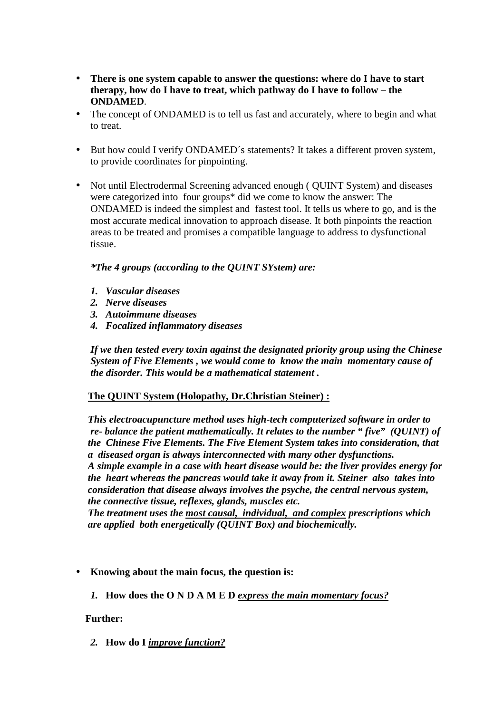- **There is one system capable to answer the questions: where do I have to start therapy, how do I have to treat, which pathway do I have to follow – the ONDAMED**.
- The concept of ONDAMED is to tell us fast and accurately, where to begin and what to treat.
- But how could I verify ONDAMED´s statements? It takes a different proven system, to provide coordinates for pinpointing.
- Not until Electrodermal Screening advanced enough ( QUINT System) and diseases were categorized into four groups\* did we come to know the answer: The ONDAMED is indeed the simplest and fastest tool. It tells us where to go, and is the most accurate medical innovation to approach disease. It both pinpoints the reaction areas to be treated and promises a compatible language to address to dysfunctional tissue.

### *\*The 4 groups (according to the QUINT SYstem) are:*

- *1. Vascular diseases*
- *2. Nerve diseases*
- *3. Autoimmune diseases*
- *4. Focalized inflammatory diseases*

 *If we then tested every toxin against the designated priority group using the Chinese System of Five Elements , we would come to know the main momentary cause of the disorder. This would be a mathematical statement .* 

#### **The QUINT System (Holopathy, Dr.Christian Steiner) :**

 *This electroacupuncture method uses high-tech computerized software in order to re- balance the patient mathematically. It relates to the number " five" (QUINT) of the Chinese Five Elements. The Five Element System takes into consideration, that a diseased organ is always interconnected with many other dysfunctions.* 

 *A simple example in a case with heart disease would be: the liver provides energy for the heart whereas the pancreas would take it away from it. Steiner also takes into consideration that disease always involves the psyche, the central nervous system, the connective tissue, reflexes, glands, muscles etc.* 

 *The treatment uses the most causal, individual, and complex prescriptions which are applied both energetically (QUINT Box) and biochemically.* 

- **Knowing about the main focus, the question is:** 
	- *1.* **How does the O N D A M E D** *express the main momentary focus?*

#### **Further:**

*2.* **How do I** *improve function?*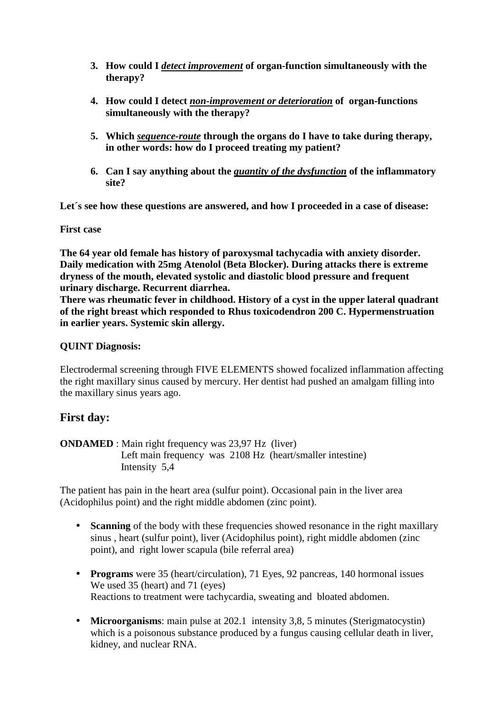- **3. How could I** *detect improvement* **of organ-function simultaneously with the therapy?**
- **4. How could I detect** *non-improvement or deterioration* **of organ-functions simultaneously with the therapy?**
- **5. Which** *sequence-route* **through the organs do I have to take during therapy, in other words: how do I proceed treating my patient?**
- **6. Can I say anything about the** *quantity of the dysfunction* **of the inflammatory site?**

**Let´s see how these questions are answered, and how I proceeded in a case of disease:** 

**First case** 

**The 64 year old female has history of paroxysmal tachycadia with anxiety disorder. Daily medication with 25mg Atenolol (Beta Blocker). During attacks there is extreme dryness of the mouth, elevated systolic and diastolic blood pressure and frequent urinary discharge. Recurrent diarrhea.** 

**There was rheumatic fever in childhood. History of a cyst in the upper lateral quadrant of the right breast which responded to Rhus toxicodendron 200 C. Hypermenstruation in earlier years. Systemic skin allergy.** 

## **QUINT Diagnosis:**

Electrodermal screening through FIVE ELEMENTS showed focalized inflammation affecting the right maxillary sinus caused by mercury. Her dentist had pushed an amalgam filling into the maxillary sinus years ago.

# **First day:**

**ONDAMED** : Main right frequency was 23,97 Hz (liver) Left main frequency was 2108 Hz (heart/smaller intestine) Intensity 5,4

The patient has pain in the heart area (sulfur point). Occasional pain in the liver area (Acidophilus point) and the right middle abdomen (zinc point).

- **Scanning** of the body with these frequencies showed resonance in the right maxillary sinus , heart (sulfur point), liver (Acidophilus point), right middle abdomen (zinc point), and right lower scapula (bile referral area)
- **Programs** were 35 (heart/circulation), 71 Eyes, 92 pancreas, 140 hormonal issues We used 35 (heart) and 71 (eyes) Reactions to treatment were tachycardia, sweating and bloated abdomen.
- **Microorganisms**: main pulse at 202.1 intensity 3,8, 5 minutes (Sterigmatocystin) which is a poisonous substance produced by a fungus causing cellular death in liver, kidney, and nuclear RNA.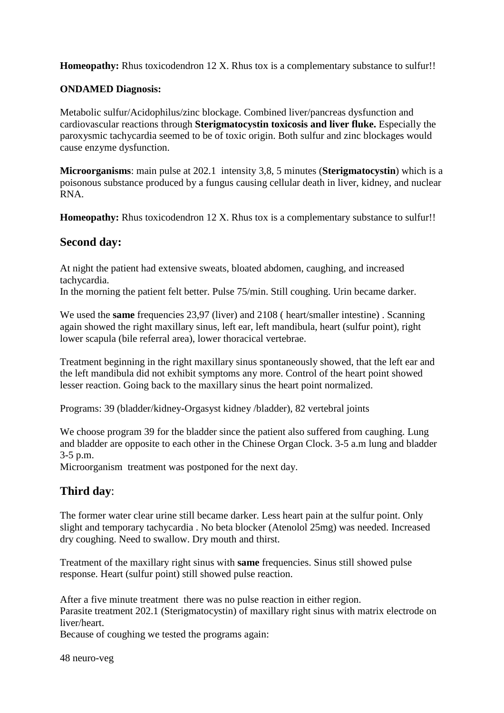**Homeopathy:** Rhus toxicodendron 12 X. Rhus tox is a complementary substance to sulfur!!

## **ONDAMED Diagnosis:**

Metabolic sulfur/Acidophilus/zinc blockage. Combined liver/pancreas dysfunction and cardiovascular reactions through **Sterigmatocystin toxicosis and liver fluke.** Especially the paroxysmic tachycardia seemed to be of toxic origin. Both sulfur and zinc blockages would cause enzyme dysfunction.

**Microorganisms**: main pulse at 202.1 intensity 3,8, 5 minutes (**Sterigmatocystin**) which is a poisonous substance produced by a fungus causing cellular death in liver, kidney, and nuclear RNA.

**Homeopathy:** Rhus toxicodendron 12 X. Rhus tox is a complementary substance to sulfur!!

## **Second day:**

At night the patient had extensive sweats, bloated abdomen, caughing, and increased tachycardia.

In the morning the patient felt better. Pulse 75/min. Still coughing. Urin became darker.

We used the **same** frequencies 23,97 (liver) and 2108 (heart/smaller intestine). Scanning again showed the right maxillary sinus, left ear, left mandibula, heart (sulfur point), right lower scapula (bile referral area), lower thoracical vertebrae.

Treatment beginning in the right maxillary sinus spontaneously showed, that the left ear and the left mandibula did not exhibit symptoms any more. Control of the heart point showed lesser reaction. Going back to the maxillary sinus the heart point normalized.

Programs: 39 (bladder/kidney-Orgasyst kidney /bladder), 82 vertebral joints

We choose program 39 for the bladder since the patient also suffered from caughing. Lung and bladder are opposite to each other in the Chinese Organ Clock. 3-5 a.m lung and bladder 3-5 p.m.

Microorganism treatment was postponed for the next day.

# **Third day**:

The former water clear urine still became darker. Less heart pain at the sulfur point. Only slight and temporary tachycardia . No beta blocker (Atenolol 25mg) was needed. Increased dry coughing. Need to swallow. Dry mouth and thirst.

Treatment of the maxillary right sinus with **same** frequencies. Sinus still showed pulse response. Heart (sulfur point) still showed pulse reaction.

After a five minute treatment there was no pulse reaction in either region. Parasite treatment 202.1 (Sterigmatocystin) of maxillary right sinus with matrix electrode on liver/heart.

Because of coughing we tested the programs again:

48 neuro-veg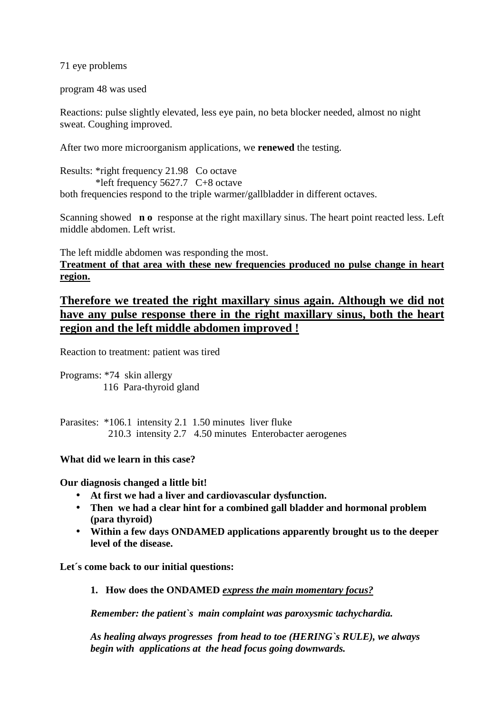71 eye problems

program 48 was used

Reactions: pulse slightly elevated, less eye pain, no beta blocker needed, almost no night sweat. Coughing improved.

After two more microorganism applications, we **renewed** the testing.

Results: \*right frequency 21.98 Co octave \*left frequency 5627.7 C+8 octave both frequencies respond to the triple warmer/gallbladder in different octaves.

Scanning showed **n o** response at the right maxillary sinus. The heart point reacted less. Left middle abdomen. Left wrist.

The left middle abdomen was responding the most. **Treatment of that area with these new frequencies produced no pulse change in heart region.**

**Therefore we treated the right maxillary sinus again. Although we did not have any pulse response there in the right maxillary sinus, both the heart region and the left middle abdomen improved !**

Reaction to treatment: patient was tired

Programs: \*74 skin allergy 116 Para-thyroid gland

Parasites: \*106.1 intensity 2.1 1.50 minutes liver fluke 210.3 intensity 2.7 4.50 minutes Enterobacter aerogenes

**What did we learn in this case?** 

**Our diagnosis changed a little bit!** 

- **At first we had a liver and cardiovascular dysfunction.**
- **Then we had a clear hint for a combined gall bladder and hormonal problem (para thyroid)**
- **Within a few days ONDAMED applications apparently brought us to the deeper level of the disease.**

**Let´s come back to our initial questions:** 

**1. How does the ONDAMED** *express the main momentary focus?* 

*Remember: the patient`s main complaint was paroxysmic tachychardia.* 

*As healing always progresses from head to toe (HERING`s RULE), we always begin with applications at the head focus going downwards.*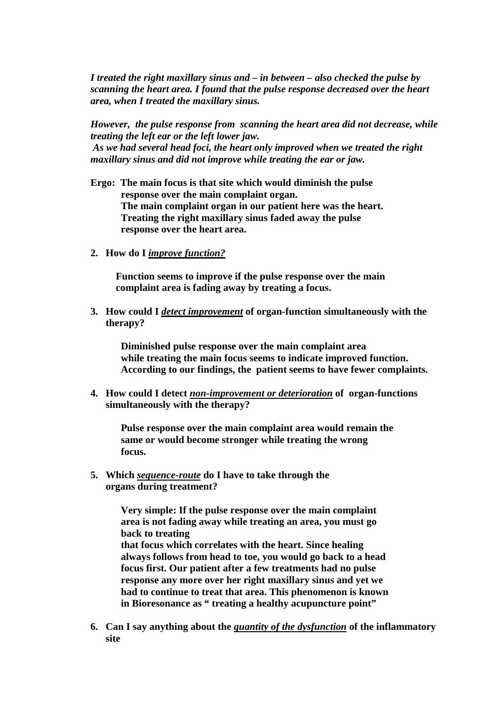*I treated the right maxillary sinus and – in between – also checked the pulse by scanning the heart area. I found that the pulse response decreased over the heart area, when I treated the maxillary sinus.* 

*However, the pulse response from scanning the heart area did not decrease, while treating the left ear or the left lower jaw. As we had several head foci, the heart only improved when we treated the right maxillary sinus and did not improve while treating the ear or jaw.* 

- **Ergo: The main focus is that site which would diminish the pulse response over the main complaint organ. The main complaint organ in our patient here was the heart. Treating the right maxillary sinus faded away the pulse response over the heart area.**
- **2. How do I** *improve function?*

**Function seems to improve if the pulse response over the main complaint area is fading away by treating a focus.** 

**3. How could I** *detect improvement* **of organ-function simultaneously with the therapy?** 

 **Diminished pulse response over the main complaint area while treating the main focus seems to indicate improved function. According to our findings, the patient seems to have fewer complaints.** 

**4. How could I detect** *non-improvement or deterioration* **of organ-functions simultaneously with the therapy?** 

 **Pulse response over the main complaint area would remain the same or would become stronger while treating the wrong focus.** 

**5. Which** *sequence-route* **do I have to take through the organs during treatment?** 

> **Very simple: If the pulse response over the main complaint area is not fading away while treating an area, you must go back to treating**

 **that focus which correlates with the heart. Since healing always follows from head to toe, you would go back to a head focus first. Our patient after a few treatments had no pulse response any more over her right maxillary sinus and yet we had to continue to treat that area. This phenomenon is known in Bioresonance as " treating a healthy acupuncture point"** 

**6. Can I say anything about the** *quantity of the dysfunction* **of the inflammatory site**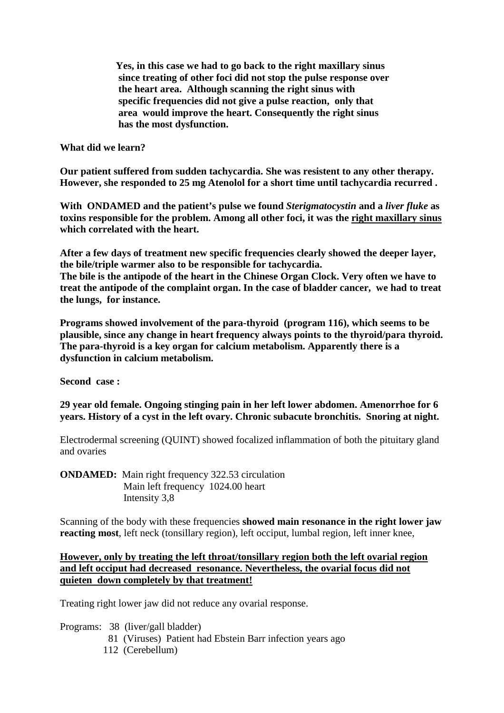**Yes, in this case we had to go back to the right maxillary sinus since treating of other foci did not stop the pulse response over the heart area. Although scanning the right sinus with specific frequencies did not give a pulse reaction, only that area would improve the heart. Consequently the right sinus has the most dysfunction.** 

### **What did we learn?**

**Our patient suffered from sudden tachycardia. She was resistent to any other therapy. However, she responded to 25 mg Atenolol for a short time until tachycardia recurred .** 

**With ONDAMED and the patient's pulse we found** *Sterigmatocystin* **and a** *liver fluke* **as toxins responsible for the problem. Among all other foci, it was the right maxillary sinus which correlated with the heart.** 

**After a few days of treatment new specific frequencies clearly showed the deeper layer, the bile/triple warmer also to be responsible for tachycardia.** 

**The bile is the antipode of the heart in the Chinese Organ Clock. Very often we have to treat the antipode of the complaint organ. In the case of bladder cancer, we had to treat the lungs, for instance.** 

**Programs showed involvement of the para-thyroid (program 116), which seems to be plausible, since any change in heart frequency always points to the thyroid/para thyroid. The para-thyroid is a key organ for calcium metabolism. Apparently there is a dysfunction in calcium metabolism.** 

**Second case :** 

**29 year old female. Ongoing stinging pain in her left lower abdomen. Amenorrhoe for 6 years. History of a cyst in the left ovary. Chronic subacute bronchitis. Snoring at night.** 

Electrodermal screening (QUINT) showed focalized inflammation of both the pituitary gland and ovaries

**ONDAMED:** Main right frequency 322.53 circulation Main left frequency 1024.00 heart Intensity 3,8

Scanning of the body with these frequencies **showed main resonance in the right lower jaw reacting most**, left neck (tonsillary region), left occiput, lumbal region, left inner knee,

## **However, only by treating the left throat/tonsillary region both the left ovarial region and left occiput had decreased resonance. Nevertheless, the ovarial focus did not quieten down completely by that treatment!**

Treating right lower jaw did not reduce any ovarial response.

- Programs: 38 (liver/gall bladder)
	- 81 (Viruses) Patient had Ebstein Barr infection years ago
	- 112 (Cerebellum)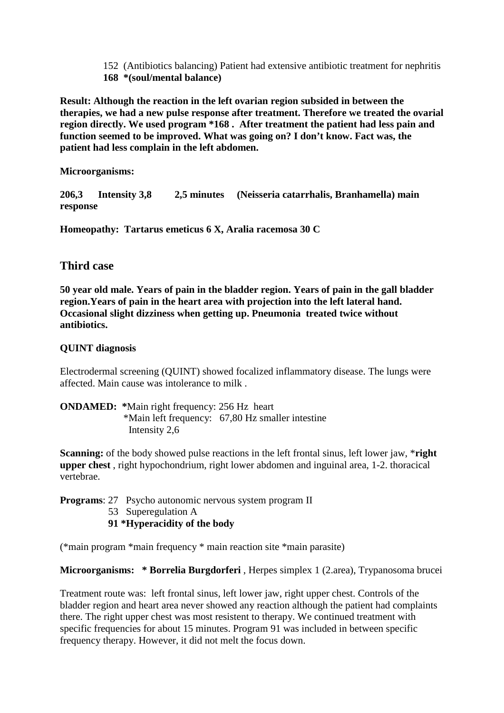152 (Antibiotics balancing) Patient had extensive antibiotic treatment for nephritis **168 \*(soul/mental balance)** 

**Result: Although the reaction in the left ovarian region subsided in between the therapies, we had a new pulse response after treatment. Therefore we treated the ovarial region directly. We used program \*168 . After treatment the patient had less pain and function seemed to be improved. What was going on? I don't know. Fact was, the patient had less complain in the left abdomen.** 

**Microorganisms:** 

**206,3 Intensity 3,8 2,5 minutes (Neisseria catarrhalis, Branhamella) main response** 

**Homeopathy: Tartarus emeticus 6 X, Aralia racemosa 30 C** 

# **Third case**

**50 year old male. Years of pain in the bladder region. Years of pain in the gall bladder region.Years of pain in the heart area with projection into the left lateral hand. Occasional slight dizziness when getting up. Pneumonia treated twice without antibiotics.** 

# **QUINT diagnosis**

Electrodermal screening (QUINT) showed focalized inflammatory disease. The lungs were affected. Main cause was intolerance to milk .

**ONDAMED: \***Main right frequency: 256 Hz heart \*Main left frequency: 67,80 Hz smaller intestine Intensity 2,6

**Scanning:** of the body showed pulse reactions in the left frontal sinus, left lower jaw, \***right upper chest** , right hypochondrium, right lower abdomen and inguinal area, 1-2. thoracical vertebrae.

**Programs**: 27 Psycho autonomic nervous system program II

- 53 Superegulation A
- **91 \*Hyperacidity of the body**

(\*main program \*main frequency \* main reaction site \*main parasite)

**Microorganisms: \* Borrelia Burgdorferi** , Herpes simplex 1 (2.area), Trypanosoma brucei

Treatment route was: left frontal sinus, left lower jaw, right upper chest. Controls of the bladder region and heart area never showed any reaction although the patient had complaints there. The right upper chest was most resistent to therapy. We continued treatment with specific frequencies for about 15 minutes. Program 91 was included in between specific frequency therapy. However, it did not melt the focus down.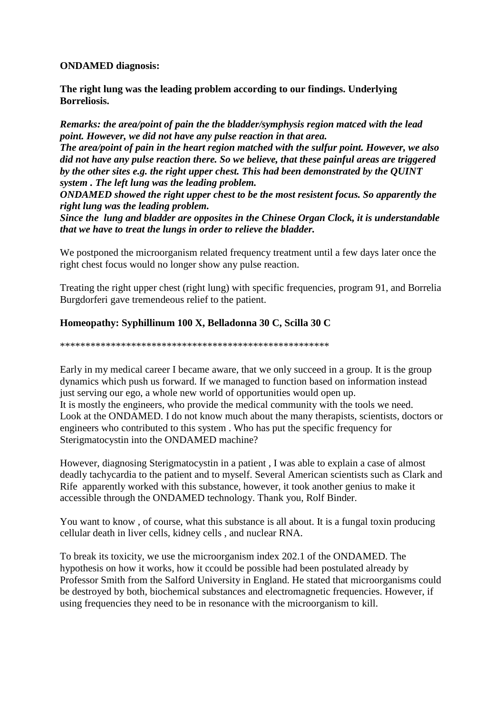### **ONDAMED diagnosis:**

**The right lung was the leading problem according to our findings. Underlying Borreliosis.** 

*Remarks: the area/point of pain the the bladder/symphysis region matced with the lead point. However, we did not have any pulse reaction in that area.* 

*The area/point of pain in the heart region matched with the sulfur point. However, we also did not have any pulse reaction there. So we believe, that these painful areas are triggered by the other sites e.g. the right upper chest. This had been demonstrated by the QUINT system . The left lung was the leading problem.* 

*ONDAMED showed the right upper chest to be the most resistent focus. So apparently the right lung was the leading problem.* 

*Since the lung and bladder are opposites in the Chinese Organ Clock, it is understandable that we have to treat the lungs in order to relieve the bladder.* 

We postponed the microorganism related frequency treatment until a few days later once the right chest focus would no longer show any pulse reaction.

Treating the right upper chest (right lung) with specific frequencies, program 91, and Borrelia Burgdorferi gave tremendeous relief to the patient.

## **Homeopathy: Syphillinum 100 X, Belladonna 30 C, Scilla 30 C**

\*\*\*\*\*\*\*\*\*\*\*\*\*\*\*\*\*\*\*\*\*\*\*\*\*\*\*\*\*\*\*\*\*\*\*\*\*\*\*\*\*\*\*\*\*\*\*\*\*\*\*\*\*

Early in my medical career I became aware, that we only succeed in a group. It is the group dynamics which push us forward. If we managed to function based on information instead just serving our ego, a whole new world of opportunities would open up. It is mostly the engineers, who provide the medical community with the tools we need. Look at the ONDAMED. I do not know much about the many therapists, scientists, doctors or engineers who contributed to this system . Who has put the specific frequency for Sterigmatocystin into the ONDAMED machine?

However, diagnosing Sterigmatocystin in a patient , I was able to explain a case of almost deadly tachycardia to the patient and to myself. Several American scientists such as Clark and Rife apparently worked with this substance, however, it took another genius to make it accessible through the ONDAMED technology. Thank you, Rolf Binder.

You want to know , of course, what this substance is all about. It is a fungal toxin producing cellular death in liver cells, kidney cells , and nuclear RNA.

To break its toxicity, we use the microorganism index 202.1 of the ONDAMED. The hypothesis on how it works, how it ccould be possible had been postulated already by Professor Smith from the Salford University in England. He stated that microorganisms could be destroyed by both, biochemical substances and electromagnetic frequencies. However, if using frequencies they need to be in resonance with the microorganism to kill.